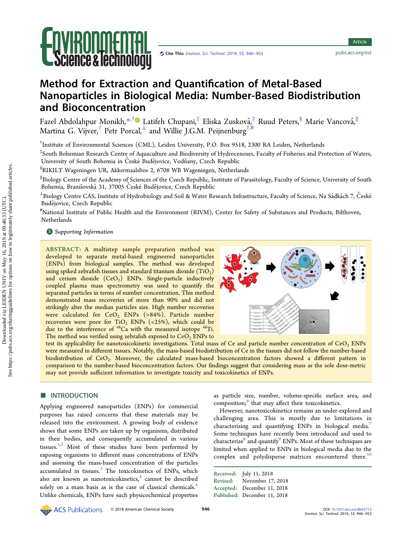

Article Article

# Method for Extraction and Quantification of Metal-Based Nanoparticles in Biological Media: Number-Based Biodistribution and Bioconcentration

Fazel Abdolahpur Monikh, $^{*,\dagger}$  $^{*,\dagger}$  $^{*,\dagger}$ © Latifeh Chupani, $^{\ddagger}$  Eliska Zusková, $^{\ddagger}_i$  Ruud Peters, $^{\S}$  Marie Vancová, $^{\parallel}$ Martina G. Vijver, $^\dagger$  Petr Porcal, $^\perp$  and Willie J.G.M. Peijnenburg $^{\dagger,\#}$ 

† Institute of Environmental Sciences (CML), Leiden University, P.O. Box 9518, 2300 RA Leiden, Netherlands

‡ South Bohemian Research Centre of Aquaculture and Biodiversity of Hydrocenoses, Faculty of Fisheries and Protection of Waters, University of South Bohemia in České Budějovice, Vodňany, Czech Republic

 $\mathrm{^{\$}RIKILT}$  Wageningen UR, Akkermaalsbos 2, 6708 WB Wageningen, Netherlands

∥ Biology Centre of the Academy of Sciences of the Czech Republic, Institute of Parasitology, Faculty of Science, University of South Bohemia, Branišovská 31, 37005 České Budějovice, Czech Republic

 $^\perp$ Biology Centre CAS, Institute of Hydrobiology and Soil & Water Research Infrastructure, Faculty of Science, Na Sádkách 7, České Budějovice, Czech Republic

# National Institute of Public Health and the Environment (RIVM), Center for Safety of Substances and Products, Bilthoven, **Netherlands** 

**S** [Supporting Information](#page-5-0)

ABSTRACT: A multistep sample preparation method was developed to separate metal-based engineered nanoparticles (ENPs) from biological samples. The method was developed using spiked zebrafish tissues and standard titanium dioxide  $(TiO<sub>2</sub>)$ and cerium dioxide  $(CeO<sub>2</sub>)$  ENPs. Single-particle inductively coupled plasma mass spectrometry was used to quantify the separated particles in terms of number concentration. This method demonstrated mass recoveries of more than 90% and did not strikingly alter the median particles size. High number recoveries were calculated for  $CeO<sub>2</sub>$  ENPs (>84%). Particle number recoveries were poor for TiO<sub>2</sub> ENPs (<25%), which could be due to the interference of <sup>48</sup>Ca with the measured isotope <sup>48</sup>Ti. The method was verified using zebrafish exposed to  $CeO$ , ENPs to



test its applicability for nanotoxicokinetic investigations. Total mass of Ce and particle number concentration of CeO<sub>2</sub> ENPs were measured in different tissues. Notably, the mass-based biodistribution of Ce in the tissues did not follow the number-based biodistribution of CeO<sub>2</sub>. Moreover, the calculated mass-based bioconcentration factors showed a different pattern in comparison to the number-based bioconcentration factors. Our findings suggest that considering mass as the sole dose-metric may not provide sufficient information to investigate toxicity and toxicokinetics of ENPs.

## **ENTRODUCTION**

Applying engineered nanoparticles (ENPs) for commercial purposes has raised concerns that these materials may be released into the environment. A growing body of evidence shows that some ENPs are taken up by organisms, distributed in their bodies, and consequently accumulated in various tissues. $1,2$  Most of these studies have been performed by exposing organisms to different mass concentrations of ENPs and assessing the mass-based concentration of the particles accumulated in tissues. $3$  The toxicokinetics of ENPs, which also are known as nanotoxicokinetics, $4$  cannot be described solely on a mass basis as is the case of classical chemicals.<sup>[5](#page-6-0)</sup> Unlike chemicals, ENPs have such physicochemical properties as particle size, number, volume-specific surface area, and composition;<sup>[6](#page-6-0)</sup> that may affect their toxicokinetics.

However, nanotoxicokinetics remains an under-explored and challenging area. This is mostly due to limitations in characterizing and quantifying ENPs in biological media.<sup>[7](#page-6-0)</sup> Some techniques have recently been introduced and used to characterize $^8$  $^8$  and quantify $^9$  ENPs. Most of these techniques are limited when applied to ENPs in biological media due to the complex and polydisperse matrices encountered there.<sup>[10](#page-6-0)</sup>

Received: July 11, 2018 Revised: November 17, 2018 Accepted: December 11, 2018 Published: December 11, 2018

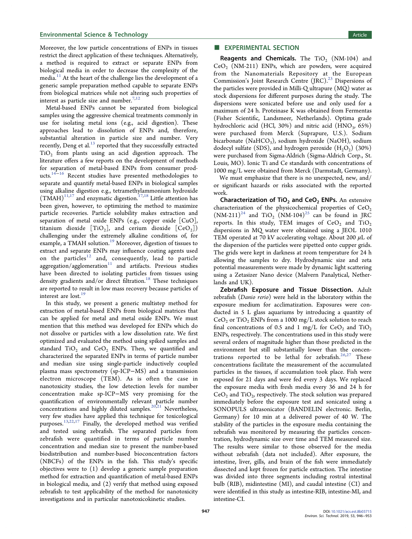### **Environmental Science & Technology Article 3 and Science Article 3 and Science Article 3 and Science Article 3 and Science Article 3 and Science Article 3 and Science Article 3 and Science Article 3 and Science Article 3**

Moreover, the low particle concentrations of ENPs in tissues restrict the direct application of these techniques. Alternatively, a method is required to extract or separate ENPs from biological media in order to decrease the complexity of the media.<sup>[11](#page-6-0)</sup> At the heart of the challenge lies the development of a generic sample preparation method capable to separate ENPs from biological matrices while not altering such properties of interest as particle size and number.<sup>[7](#page-6-0),[12](#page-6-0)</sup>

Metal-based ENPs cannot be separated from biological samples using the aggressive chemical treatments commonly in use for isolating metal ions (e.g., acid digestion). These approaches lead to dissolution of ENPs and, therefore, substantial alteration in particle size and number. Very recently, Deng et al. $^{13}$  reported that they successfully extracted  $TiO<sub>2</sub>$  from plants using an acid digestion approach. The literature offers a few reports on the development of methods for separation of metal-based ENPs from consumer products.[14](#page-6-0)<sup>−</sup>[16](#page-6-0) Recent studies have presented methodologies to separate and quantify metal-based ENPs in biological samples using alkaline digestion e.g., tetramethylammonium hydroxide  $(TMAH)^{11,17}$  $(TMAH)^{11,17}$  $(TMAH)^{11,17}$  and enzymatic digestion.<sup>[17,18](#page-6-0)</sup> Little attention has been given, however, to optimizing the method to maximize particle recoveries. Particle solubility makes extraction and separation of metal oxide ENPs (e.g., copper oxide [CuO], titanium dioxide  $[TiO_2]$ , and cerium dioxide  $[CeO_2]$ ) challenging under the extremely alkaline conditions of, for example, a TMAH solution.<sup>[19](#page-6-0)</sup> Moreover, digestion of tissues to extract and separate ENPs may influence coating agents used on the particles $12$  and, consequently, lead to particle  $\frac{1}{2}$ aggregation/agglomeration<sup>11</sup> and artifacts. Previous studies have been directed to isolating particles from tissues using density gradients and/or direct filtration.<sup>18</sup> These techniques are reported to result in low mass recovery because particles of interest are lost.<sup>[19](#page-6-0)</sup>

In this study, we present a generic multistep method for extraction of metal-based ENPs from biological matrices that can be applied for metal and metal oxide ENPs. We must mention that this method was developed for ENPs which do not dissolve or particles with a low dissolution rate. We first optimized and evaluated the method using spiked samples and standard  $TiO<sub>2</sub>$  and  $CeO<sub>2</sub>$  ENPs. Then, we quantified and characterized the separated ENPs in terms of particle number and median size using single-particle inductively coupled plasma mass spectrometry (sp-ICP−MS) and a transmission electron microscope (TEM). As is often the case in nanotoxicity studies, the low detection levels for number concentration make sp-ICP−MS very promising for the quantification of environmentally relevant particle number concentrations and highly diluted samples.<sup>[20,21](#page-6-0)</sup> Nevertheless, very few studies have applied this technique for toxicological purposes.<sup>13,22,[17](#page-6-0)</sup> Finally, the developed method was verified and tested using zebrafish. The separated particles from zebrafish were quantified in terms of particle number concentration and median size to present the number-based biodistribution and number-based bioconcentration factors (NBCFs) of the ENPs in the fish. This study's specific objectives were to (1) develop a generic sample preparation method for extraction and quantification of metal-based ENPs in biological media, and (2) verify that method using exposed zebrafish to test applicability of the method for nanotoxicity investigations and in particular nanotoxicokinetic studies.

#### **EXPERIMENTAL SECTION**

**Reagents and Chemicals.** The  $TiO<sub>2</sub>$  (NM-104) and  $CeO<sub>2</sub>$  (NM-211) ENPs, which are powders, were acquired from the Nanomaterials Repository at the European Commission's Joint Research Centre  $(IRC).^{23}$  $(IRC).^{23}$  $(IRC).^{23}$  Dispersions of the particles were provided in Milli-Q ultrapure (MQ) water as stock dispersions for different purposes during the study. The dispersions were sonicated before use and only used for a maximum of 24 h. Proteinase K was obtained from Fermentas (Fisher Scientific, Landsmeer, Netherlands). Optima grade hydrochloric acid (HCl, 30%) and nitric acid (HNO<sub>3</sub>, 65%) were purchased from Merck (Suprapure, U.S.). Sodium bicarbonate (NaHCO<sub>3</sub>), sodium hydroxide (NaOH), sodium dodecyl sulfate (SDS), and hydrogen peroxide  $(H<sub>2</sub>O<sub>2</sub>)$  (30%) were purchased from Sigma-Aldrich (Sigma-Aldrich Corp., St. Louis, MO). Ionic Ti and Ce standards with concentrations of 1000 mg/L were obtained from Merck (Darmstadt, Germany).

We must emphasize that there is no unexpected, new, and/ or significant hazards or risks associated with the reported work.

Characterization of  $TiO<sub>2</sub>$  and CeO<sub>2</sub> ENPs. An extensive characterization of the physicochemical properties of  $CeO<sub>2</sub>$  $(NM-211)^{24}$  $(NM-211)^{24}$  $(NM-211)^{24}$  and TiO<sub>2</sub>  $(NM-104)^{25}$  can be found in JRC reports. In this study, TEM images of  $CeO<sub>2</sub>$  and  $TiO<sub>2</sub>$ dispersions in MQ water were obtained using a JEOL 1010 TEM operated at 70 kV accelerating voltage. About 200  $\mu$ L of the dispersion of the particles were pipetted onto cupper grids. The grids were kept in darkness at room temperature for 24 h allowing the samples to dry. Hydrodynamic size and zeta potential measurements were made by dynamic light scattering using a Zetasizer Nano device (Malvern Panalytical, Netherlands and UK).

Zebrafish Exposure and Tissue Dissection. Adult zebrafish (Danio rerio) were held in the laboratory within the exposure medium for acclimatization. Exposures were conducted in 5 L glass aquariums by introducing a quantity of  $CeO<sub>2</sub>$  or TiO<sub>2</sub> ENPs from a 1000 mg/L stock solution to reach final concentrations of 0.5 and 1 mg/L for  $CeO<sub>2</sub>$  and  $TiO<sub>2</sub>$ ENPs, respectively. The concentrations used in this study were several orders of magnitude higher than those predicted in the environment but still substantially lower than the concentrations reported to be lethal for zebrafish. $26,27$  These concentrations facilitate the measurement of the accumulated particles in the tissues, if accumulation took place. Fish were exposed for 21 days and were fed every 3 days. We replaced the exposure media with fresh media every 36 and 24 h for  $\text{CeO}_2$  and  $\text{TiO}_2$ , respectively. The stock solution was prepared immediately before the exposure test and sonicated using a SONOPULS ultrasonicator (BANDELIN electronic. Berlin, Germany) for 10 min at a delivered power of 40 W. The stability of the particles in the exposure media containing the zebrafish was monitored by measuring the particles concentration, hydrodynamic size over time and TEM measured size. The results were similar to those observed for the media without zebrafish (data not included). After exposure, the intestine, liver, gills, and brain of the fish were immediately dissected and kept frozen for particle extraction. The intestine was divided into three segments including rostral intestinal bulb (RIB), midintestine (MI), and caudal intestine (CI) and were identified in this study as intestine-RIB, intestine-MI, and intestine-CI.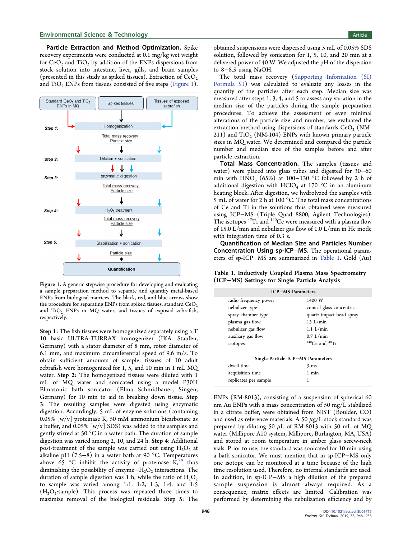Particle Extraction and Method Optimization. Spike recovery experiments were conducted at 0.1 mg/kg wet weight for  $CeO<sub>2</sub>$  and  $TiO<sub>2</sub>$  by addition of the ENPs dispersions from stock solution into intestine, liver, gills, and brain samples (presented in this study as spiked tissues). Extraction of  $CeO<sub>2</sub>$ and TiO<sub>2</sub> ENPs from tissues consisted of five steps (Figure 1).



Figure 1. A generic stepwise procedure for developing and evaluating a sample preparation method to separate and quantify metal-based ENPs from biological matrices. The black, red, and blue arrows show the procedure for separating ENPs from spiked tissues, standard  $\rm{CeO_2}$ and  $TiO<sub>2</sub>$  ENPs in MQ water, and tissues of exposed zebrafish, respectively.

Step 1: The fish tissues were homogenized separately using a T 10 basic ULTRA-TURRAX homogenizer (IKA. Staufen, Germany) with a stator diameter of 8 mm, rotor diameter of 6.1 mm, and maximum circumferential speed of 9.6 m/s. To obtain sufficient amounts of sample, tissues of 10 adult zebrafish were homogenized for 1, 5, and 10 min in 1 mL MQ water. Step 2: The homogenized tissues were diluted with 1 mL of MQ water and sonicated using a model P30H Elmasonic bath sonicator (Elma Schmidbauer, Singen, Germany) for 10 min to aid in breaking down tissue. Step 3: The resulting samples were digested using enzymatic digestion. Accordingly, 5 mL of enzyme solutions (containing 0.05% [w/v] proteinase K, 50 mM ammonium bicarbonate as a buffer, and  $0.05\%$  [w/v] SDS) was added to the samples and gently stirred at 50 °C in a water bath. The duration of sample digestion was varied among 2, 10, and 24 h. Step 4: Additional post-treatment of the sample was carried out using  $H_2O_2$  at alkaline pH (7.5−8) in a water bath at 90 °C. Temperatures above 65 °C inhibit the activity of proteinase  $\tilde{K}_1^{28}$  $\tilde{K}_1^{28}$  $\tilde{K}_1^{28}$  thus diminishing the possibility of enzyme $-H_2O_2$  interactions. The duration of sample digestion was 1 h, while the ratio of  $H_2O_2$ to sample was varied among 1:1, 1:2, 1:3, 1:4, and 1:5  $(H<sub>2</sub>O<sub>2</sub>:sample)$ . This process was repeated three times to maximize removal of the biological residuals. Step 5: The

obtained suspensions were dispersed using 5 mL of 0.05% SDS solution, followed by sonication for 1, 5, 10, and 20 min at a delivered power of 40 W. We adjusted the pH of the dispersion to 8−8.5 using NaOH.

The total mass recovery [\(Supporting Information \(SI\)](http://pubs.acs.org/doi/suppl/10.1021/acs.est.8b03715/suppl_file/es8b03715_si_001.pdf) [Formula S1\)](http://pubs.acs.org/doi/suppl/10.1021/acs.est.8b03715/suppl_file/es8b03715_si_001.pdf) was calculated to evaluate any losses in the quantity of the particles after each step. Median size was measured after steps 1, 3, 4, and 5 to assess any variation in the median size of the particles during the sample preparation procedures. To achieve the assessment of even minimal alterations of the particle size and number, we evaluated the extraction method using dispersions of standards  $CeO<sub>2</sub>$  (NM-211) and  $TiO<sub>2</sub>$  (NM-104) ENPs with known primary particle sizes in MQ water. We determined and compared the particle number and median size of the samples before and after particle extraction.

Total Mass Concentration. The samples (tissues and water) were placed into glass tubes and digested for 30−60 min with HNO<sub>3</sub> (65%) at 100−130 °C followed by 2 h of additional digestion with  $HClO<sub>4</sub>$  at 170 °C in an aluminum heating block. After digestion, we hydrolyzed the samples with 5 mL of water for 2 h at 100 °C. The total mass concentrations of Ce and Ti in the solutions thus obtained were measured using ICP−MS (Triple Quad 8800, Agilent Technologies). The isotopes  $47$ Ti and  $140$ Ce were measured with a plasma flow of 15.0 L/min and nebulizer gas flow of 1.0 L/min in He mode with integration time of 0.3 s.

Quantification of Median Size and Particles Number Concentration Using sp-ICP−MS. The operational parameters of sp-ICP−MS are summarized in Table 1. Gold (Au)

Table 1. Inductively Coupled Plasma Mass Spectrometry (ICP−MS) Settings for Single Particle Analysis

| <b>ICP-MS</b> Parameters          |                          |  |  |  |
|-----------------------------------|--------------------------|--|--|--|
| radio frequency power             | 1400 W                   |  |  |  |
| nebulizer type                    | conical glass concentric |  |  |  |
| spray chamber type                | quartz impact bead spray |  |  |  |
| plasma gas flow                   | 13 L/min                 |  |  |  |
| nebulizer gas flow                | $1.1$ L/min              |  |  |  |
| auxiliary gas flow                | $0.7$ L/min              |  |  |  |
| isotopes                          | $140$ Ce and $48$ Ti     |  |  |  |
|                                   |                          |  |  |  |
| Single-Particle ICP-MS Parameters |                          |  |  |  |
| dwell time                        | $3 \text{ ms}$           |  |  |  |
| acquisition time                  | 1 min                    |  |  |  |
| replicates per sample             |                          |  |  |  |

ENPs (RM-8013), consisting of a suspension of spherical 60 nm Au ENPs with a mass concentration of 50 mg/L stabilized in a citrate buffer, were obtained from NIST (Boulder, CO) and used as reference materials. A 50  $\mu$ g/L stock standard was prepared by diluting 50  $\mu$ L of RM-8013 with 50 mL of MQ water (Millipore A10 system, Millipore, Burlington, MA, USA) and stored at room temperature in amber glass screw-neck vials. Prior to use, the standard was sonicated for 10 min using a bath sonicator. We must mention that in sp-ICP−MS only one isotope can be monitored at a time because of the high time resolution used. Therefore, no internal standards are used. In addition, in sp-ICP−MS a high dilution of the prepared sample suspension is almost always required. As a consequence, matrix effects are limited. Calibration was performed by determining the nebulization efficiency and by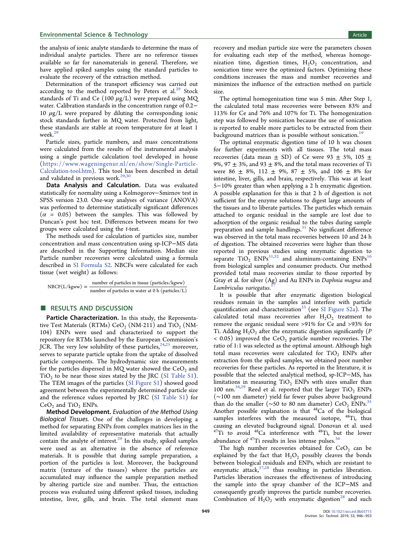the analysis of ionic analyte standards to determine the mass of individual analyte particles. There are no reference tissues available so far for nanomaterials in general. Therefore, we have applied spiked samples using the standard particles to evaluate the recovery of the extraction method.

Determination of the transport efficiency was carried out according to the method reported by Peters et  $al^{29}$  Stock standards of Ti and Ce  $(100 \mu g/L)$  were prepared using MQ water. Calibration standards in the concentration range of 0.2− 10  $\mu$ g/L were prepared by diluting the corresponding ionic stock standards further in MQ water. Protected from light, these standards are stable at room temperature for at least 1 week.<sup>[29](#page-7-0)</sup>

Particle sizes, particle numbers, and mass concentrations were calculated from the results of the instrumental analysis using a single particle calculation tool developed in house ([https://www.wageningenur.nl/en/show/Single-Particle-](https://www.wageningenur.nl/en/show/Single-Particle-Calculation-tool.htm)[Calculation-tool.htm\)](https://www.wageningenur.nl/en/show/Single-Particle-Calculation-tool.htm). This tool has been described in detail and validated in previous work. $29,30$ 

Data Analysis and Calculation. Data was evaluated statistically for normality using a Kolmogorov−Smirnov test in SPSS version 23.0. One-way analyses of variance (ANOVA) was performed to determine statistically significant differences  $(\alpha = 0.05)$  between the samples. This was followed by Duncan's post hoc test. Differences between means for two groups were calculated using the t-test.

The methods used for calculation of particles size, number concentration and mass concentration using sp-ICP−MS data are described in the Supporting Information. Median size Particle number recoveries were calculated using a formula described in [SI Formula S2](http://pubs.acs.org/doi/suppl/10.1021/acs.est.8b03715/suppl_file/es8b03715_si_001.pdf). NBCFs were calculated for each tissue (wet weight) as follows:

 $NBCF(L/kgww) = \frac{\text{number of particles in tissue (particles/kgww)}}{\text{number of particles in water at 0 h (particles/L)}}$ 

## ■ RESULTS AND DISCUSSION

Particle Characterization. In this study, the Representative Test Materials (RTMs)  $CeO<sub>2</sub>$  (NM-211) and TiO<sub>2</sub> (NM-104) ENPs were used and characterized to support the repository for RTMs launched by the European Commission's JCR. The very low solubility of these particles,  $24,25$  moreover, serves to separate particle uptake from the uptake of dissolved particle components. The hydrodynamic size measurements for the particles dispersed in MQ water showed the  $CeO<sub>2</sub>$  and  $TiO<sub>2</sub>$  to be near those sizes stated by the JRC [\(SI Table S1](http://pubs.acs.org/doi/suppl/10.1021/acs.est.8b03715/suppl_file/es8b03715_si_001.pdf)). The TEM images of the particles ([SI Figure S1\)](http://pubs.acs.org/doi/suppl/10.1021/acs.est.8b03715/suppl_file/es8b03715_si_001.pdf) showed good agreement between the experimentally determined particle size and the reference values reported by JRC [\(SI Table S1\)](http://pubs.acs.org/doi/suppl/10.1021/acs.est.8b03715/suppl_file/es8b03715_si_001.pdf) for  $CeO<sub>2</sub>$  and TiO<sub>2</sub> ENPs.

Method Development. Evaluation of the Method Using Biological Tissues. One of the challenges in developing a method for separating ENPs from complex matrices lies in the limited availability of representative materials that actually contain the analyte of interest.<sup>29</sup> In this study, spiked samples were used as an alternative in the absence of reference materials. It is possible that during sample preparation, a portion of the particles is lost. Moreover, the background matrix (texture of the tissues) where the particles are accumulated may influence the sample preparation method by altering particle size and number. Thus, the extraction process was evaluated using different spiked tissues, including intestine, liver, gills, and brain. The total element mass

recovery and median particle size were the parameters chosen for evaluating each step of the method, whereas homogenization time, digestion times,  $H_2O_2$  concentration, and sonication time were the optimized factors. Optimizing these conditions increases the mass and number recoveries and minimizes the influence of the extraction method on particle size.

The optimal homogenization time was 5 min. After Step 1, the calculated total mass recoveries were between 83% and 113% for Ce and 76% and 107% for Ti. The homogenization step was followed by sonication because the use of sonication is reported to enable more particles to be extracted from their background matrices than is possible without sonication.<sup>[19](#page-6-0)</sup>

The optimal enzymatic digestion time of 10 h was chosen for further experiments with all tissues. The total mass recoveries (data mean  $\pm$  SD) of Ce were 93  $\pm$  5%, 105  $\pm$ 9%, 97  $\pm$  3%, and 93  $\pm$  8%, and the total mass recoveries of Ti were 86  $\pm$  8%, 112  $\pm$  9%, 87  $\pm$  5%, and 106  $\pm$  8% for intestine, liver, gills, and brain, respectively. This was at least 5−10% greater than when applying a 2 h enzymatic digestion. A possible explanation for this is that 2 h of digestion is not sufficient for the enzyme solutions to digest large amounts of the tissues and to liberate particles. The particles which remain attached to organic residual in the sample are lost due to adsorption of the organic residual to the tubes during sample preparation and sample handlings.<sup>[31](#page-7-0)</sup> No significant difference was observed in the total mass recoveries between 10 and 24 h of digestion. The obtained recoveries were higher than those reported in previous studies using enzymatic digestion to separate  $TiO<sub>2</sub>$  ENPs<sup>[31,32](#page-7-0)</sup> and aluminum-containing ENPs<sup>16</sup> from biological samples and consumer products. Our method provided total mass recoveries similar to those reported by Gray et al. for silver (Ag) and Au ENPs in Daphnia magna and Lumbriculus variegatus. I<sup>7</sup>

It is possible that after enzymatic digestion biological residues remain in the samples and interfere with particle quantification and characterization<sup>[33](#page-7-0)</sup> (see [SI Figure S2a\)](http://pubs.acs.org/doi/suppl/10.1021/acs.est.8b03715/suppl_file/es8b03715_si_001.pdf). The calculated total mass recoveries after  $H_2O_2$  treatment to remove the organic residual were >91% for Ce and >93% for Ti. Adding  $H_2O_2$  after the enzymatic digestion significantly (P  $<$  0.05) improved the CeO<sub>2</sub> particle number recoveries. The ratio of 1:1 was selected as the optimal amount. Although high total mass recoveries were calculated for  $TiO<sub>2</sub>$  ENPs after extraction from the spiked samples, we obtained poor number recoveries for these particles. As reported in the literature, it is possible that the selected analytical method, sp-ICP−MS, has limitations in measuring  $TiO<sub>2</sub>$  ENPs with sizes smaller than 100 nm.<sup>[34](#page-7-0),[29](#page-7-0)</sup> Reed et al. reported that the larger  $TiO<sub>2</sub>$  ENPs (∼100 nm diameter) yield far fewer pulses above background than do the smaller (∼50 to 80 nm diameter) CeO<sub>2</sub> ENPs.<sup>35</sup> Another possible explanation is that  $48$ Ca of the biological samples interferes with the measured isotope,  $48$ Ti, thus causing an elevated background signal. Donovan et al. used <sup>47</sup>Ti to avoid <sup>48</sup>Ca interference with <sup>48</sup>Ti, but the lower abundance of <sup>47</sup>Ti results in less intense pulses.<sup>36</sup>

The high number recoveries obtained for  $CeO<sub>2</sub>$  can be explained by the fact that  $H_2O_2$  possibly cleaves the bonds between biological residuals and ENPs, which are resistant to enzymatic attack[,37](#page-7-0),[28](#page-7-0) thus resulting in particles liberation. Particles liberation increases the effectiveness of introducing the sample into the spray chamber of the ICP−MS and consequently greatly improves the particle number recoveries. Combination of  $H_2O_2$  with enzymatic digestion<sup>[28](#page-7-0)</sup> and such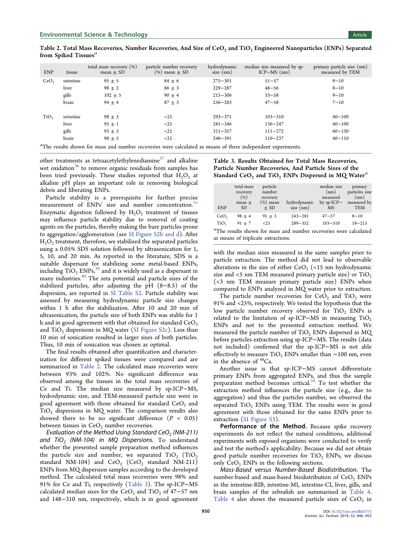| <b>ENP</b>                                                                                                               | tissue    | total mass recovery $(\%)$<br>mean $\pm$ SD | particle number recovery<br>$(\% )$ mean $\pm$ SD | hydrodynamic<br>$size$ (nm) | median size measured by sp-<br>$ICP-MS$ (nm) | primary particle size (nm)<br>measured by TEM |
|--------------------------------------------------------------------------------------------------------------------------|-----------|---------------------------------------------|---------------------------------------------------|-----------------------------|----------------------------------------------|-----------------------------------------------|
| CeO <sub>2</sub>                                                                                                         | intestine | $95 \pm 5$                                  | $84 \pm 6$                                        | $275 - 301$                 | $51 - 57$                                    | $9 - 10$                                      |
|                                                                                                                          | liver     | $98 \pm 2$                                  | $86 \pm 3$                                        | $229 - 287$                 | $48 - 56$                                    | $8 - 10$                                      |
|                                                                                                                          | gills     | $102 \pm 5$                                 | $90 \pm 4$                                        | $215 - 306$                 | $53 - 58$                                    | $9 - 10$                                      |
|                                                                                                                          | brain     | $94 \pm 4$                                  | $87 \pm 3$                                        | $256 - 283$                 | $47 - 58$                                    | $7 - 10$                                      |
|                                                                                                                          |           |                                             |                                                   |                             |                                              |                                               |
| TiO <sub>2</sub>                                                                                                         | intestine | $98 \pm 3$                                  | <25                                               | $293 - 371$                 | $103 - 310$                                  | $40 - 100$                                    |
|                                                                                                                          | liver     | $95 \pm 1$                                  | <25                                               | $281 - 346$                 | $136 - 247$                                  | $40 - 100$                                    |
|                                                                                                                          | gills     | $93 \pm 3$                                  | <25                                               | $311 - 357$                 | $111 - 272$                                  | $60 - 130$                                    |
|                                                                                                                          | brain     | $98 \pm 5$                                  | <25                                               | $248 - 391$                 | $110 - 237$                                  | $40 - 110$                                    |
| <sup>a</sup> The results shown for mass and number recoveries were calculated as means of three independent experiments. |           |                                             |                                                   |                             |                                              |                                               |

Table 2. Total Mass Recoveries, Number Recoveries, And Size of CeO<sub>2</sub> and TiO<sub>2</sub> Engineered Nanoparticles (ENPs) Separated from Spiked Tissues<sup>a</sup>

other treatments as tetraacetylethylenediamine $37$  and alkaline wet oxidation $^{38}$  $^{38}$  $^{38}$  to remove organic residuals from samples has been tried previously. These studies reported that  $H_2O_2$  at alkaline pH plays an important role in removing biological debris and liberating ENPs.

Particle stability is a prerequisite for further precise measurement of ENPs' size and number concentration.<sup>15</sup> Enzymatic digestion followed by  $H_2O_2$  treatment of tissues may influence particle stability due to removal of coating agents on the particles, thereby making the bare particles prone to aggregation/agglomeration (see [SI Figure S2b and d](http://pubs.acs.org/doi/suppl/10.1021/acs.est.8b03715/suppl_file/es8b03715_si_001.pdf)). After  $H<sub>2</sub>O<sub>2</sub>$  treatment, therefore, we stabilized the separated particles using a 0.05% SDS solution followed by ultrasonication for 1, 5, 10, and 20 min. As reported in the literature, SDS is a suitable dispersant for stabilizing some metal-based ENPs, including  $TiO<sub>2</sub>$  ENPs,<sup>39</sup> and it is widely used as a dispersant in many industries.[40](#page-7-0) The zeta potential and particle sizes of the stabilized particles, after adjusting the pH (8−8.5) of the dispersion, are reported in [SI Table S2.](http://pubs.acs.org/doi/suppl/10.1021/acs.est.8b03715/suppl_file/es8b03715_si_001.pdf) Particle stability was assessed by measuring hydrodynamic particle size changes within 1 h after the stabilization. After 10 and 20 min of ultrasonication, the particle size of both ENPs was stable for 1 h and in good agreement with that obtained for standard  $\text{CeO}_2$ and  $TiO<sub>2</sub>$  dispersions in MQ water ([SI Figure S2c\)](http://pubs.acs.org/doi/suppl/10.1021/acs.est.8b03715/suppl_file/es8b03715_si_001.pdf). Less than 10 min of sonication resulted in larger sizes of both particles. Thus, 10 min of sonication was chosen as optimal.

The final results obtained after quantification and characterization for different spiked tissues were compared and are summarized in Table 2. The calculated mass recoveries were between 93% and 102%. No significant difference was observed among the tissues in the total mass recoveries of Ce and Ti. The median size measured by sp-ICP−MS, hydrodynamic size, and TEM-measured particle size were in good agreement with those obtained for standard  $CeO<sub>2</sub>$  and  $TiO<sub>2</sub>$  dispersions in MQ water. The comparison results also showed there to be no significant difference  $(P < 0.05)$ between tissues in  $CeO<sub>2</sub>$  number recoveries.

Evaluation of the Method Using Standard CeO<sub>2</sub> (NM-211) and  $TiO<sub>2</sub>$  (NM-104) in MQ Dispersions. To understand whether the presented sample preparation method influences the particle size and number, we separated  $TiO<sub>2</sub>$   $(TiO<sub>2</sub>)$ standard NM-104) and  $CeO<sub>2</sub>$  (CeO<sub>2</sub> standard NM-211) ENPs from MQ dispersion samples according to the developed method. The calculated total mass recoveries were 98% and 91% for Ce and Ti, respectively (Table 3). The sp-ICP−MS calculated median sizes for the CeO<sub>2</sub> and TiO<sub>2</sub> of 47–57 nm and 148−310 nm, respectively, which is in good agreement Table 3. Results Obtained for Total Mass Recoveries, Particle Number Recoveries, And Particle Sizes of the Standard  $CeO<sub>2</sub>$  and TiO<sub>2</sub> ENPs Dispersed in MQ Water<sup>a</sup>

| <b>ENP</b>                                                              | total mass<br>recovery<br>(96)<br>mean $\pm$<br><b>SD</b> | particle<br>number<br>recovery<br>$(\%)$ mean<br>$\pm$ SD | hydrodynamic<br>size (nm) | median size<br>(nm)<br>measured<br>by $sp-ICP-$<br><b>MS</b> | primary<br>particles size<br>(nm)<br>measured by<br><b>TEM</b> |
|-------------------------------------------------------------------------|-----------------------------------------------------------|-----------------------------------------------------------|---------------------------|--------------------------------------------------------------|----------------------------------------------------------------|
| CeO <sub>2</sub>                                                        | $98 \pm 4$                                                | $91 \pm 3$                                                | $243 - 281$               | $47 - 57$                                                    | $8 - 10$                                                       |
| TiO,                                                                    | $91 + 7$                                                  | <25                                                       | $289 - 352$               | $103 - 310$                                                  | $18 - 215$                                                     |
| ${}^a$ The results shown for mass and number recoveries were calculated |                                                           |                                                           |                           |                                                              |                                                                |
| as means of triplicate extractions.                                     |                                                           |                                                           |                           |                                                              |                                                                |

with the median sizes measured in the same samples prior to particle extraction. The method did not lead to observable alterations in the size of either  $CeO<sub>2</sub>$  (<15 nm hydrodynamic size and  $\leq$  5 nm TEM measured primary particle size) or TiO<sub>2</sub> (<3 nm TEM measure primary particle size) ENPs when compared to ENPs analyzed in MQ water prior to extraction.

The particle number recoveries for  $CeO<sub>2</sub>$  and  $TiO<sub>2</sub>$  were 91% and <25%, respectively. We tested the hypothesis that the low particle number recovery observed for TiO<sub>2</sub> ENPs is related to the limitation of sp-ICP−MS in measuring  $TiO<sub>2</sub>$ ENPs and not to the presented extraction method. We measured the particle number of  $TiO<sub>2</sub>$  ENPs dispersed in MQ before particles extraction using sp-ICP−MS. The results (data not included) confirmed that the sp-ICP−MS is not able effectively to measure TiO<sub>2</sub> ENPs smaller than  $\sim$ 100 nm, even in the absence of <sup>48</sup>Ca.

Another issue is that sp-ICP−MS cannot differentiate primary ENPs from aggregated ENPs, and thus the sample preparation method becomes critical.<sup>[34](#page-7-0)</sup> To test whether the extraction method influences the particle size (e.g., due to aggregation) and thus the particles number, we observed the separated  $TiO<sub>2</sub>$  ENPs using TEM. The results were in good agreement with those obtained for the same ENPs prior to extraction ([SI Figure S3](http://pubs.acs.org/doi/suppl/10.1021/acs.est.8b03715/suppl_file/es8b03715_si_001.pdf)).

Performance of the Method. Because spike recovery experiments do not reflect the natural conditions, additional experiments with exposed organisms were conducted to verify and test the method's applicability. Because we did not obtain good particle number recoveries for  $TiO<sub>2</sub>$  ENPs, we discuss only  $CeO<sub>2</sub>$  ENPs in the following sections.

Mass-Based versus Number-Based Biodistribution. The number-based and mass-based biodistribution of  $\text{CeO}_2$  ENPs in the intestine-RIB, intestine-MI, intestine-CI, liver, gills, and brain samples of the zebrafish are summarized in [Table 4](#page-5-0). [Table 4](#page-5-0) also shows the measured particle sizes of  $CeO<sub>2</sub>$  in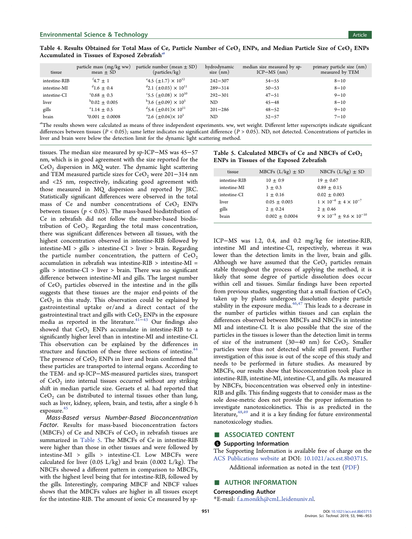| tissue        | particle mass (mg/kg ww)<br>mean $\pm$ SD | particle number (mean $\pm$ SD)<br>(particles/kg)       | hydrodynamic<br>size $(nm)$ | median size measured by sp-<br>$ICP-MS$ (nm) | primary particle size (nm)<br>measured by TEM |
|---------------|-------------------------------------------|---------------------------------------------------------|-----------------------------|----------------------------------------------|-----------------------------------------------|
| intestine-RIB | $1^4$ .7 $\pm$ 1                          | <sup>e</sup> 4.5 ( $\pm$ 1.7) $\times$ 10 <sup>12</sup> | $242 - 307$                 | $54 - 55$                                    | $8 - 10$                                      |
| intestine-MI  | $41.6 \pm 0.4$                            | $\text{d}_{2.1}$ (±0.03) $\times$ 10 <sup>11</sup>      | $289 - 314$                 | $50 - 53$                                    | $8 - 10$                                      |
| intestine-CI  | $0.68 \pm 0.3$                            | $\text{S}$ .5 ( $\pm 0.08$ ) $\times 10^{10}$           | $292 - 301$                 | $47 - 51$                                    | $9 - 10$                                      |
| liver         | $^{b}0.02 \pm 0.005$                      | $b$ 3.6 ( $\pm$ 0.09) $\times$ 10 <sup>5</sup>          | ND                          | $45 - 48$                                    | $8 - 10$                                      |
| gills         | $^{\circ}1.14 \pm 0.5$                    | $^{d}$ 5.4 ( $\pm$ 0.01) $\times$ 10 <sup>11</sup>      | $201 - 286$                 | $48 - 52$                                    | $9 - 10$                                      |
| brain         | $^40.001 \pm 0.0008$                      | <sup>a</sup> 2.6 ( $\pm$ 0.04) $\times$ 10 <sup>3</sup> | ND                          | $52 - 57$                                    | $7 - 10$                                      |

<span id="page-5-0"></span>Table 4. Results Obtained for Total Mass of Ce, Particle Number of CeO<sub>2</sub> ENPs, and Median Particle Size of CeO<sub>2</sub> ENPs Accumulated in Tissues of Exposed Zebrafish<sup>a</sup>

 ${}^a$ The results shown were calculated as means of three independent experiments. ww, wet weight. Different letter superscripts indicate significant differences between tissues ( $P < 0.05$ ); same letter indicates no significant difference ( $P > 0.05$ ). ND, not detected. Concentrations of particles in liver and brain were below the detection limit for the dynamic light scattering method.

tissues. The median size measured by sp-ICP−MS was 45−57 nm, which is in good agreement with the size reported for the  $CeO<sub>2</sub>$  dispersion in MQ water. The dynamic light scattering and TEM measured particle sizes for CeO<sub>2</sub> were 201−314 nm and <25 nm, respectively, indicating good agreement with those measured in MQ dispersion and reported by JRC. Statistically significant differences were observed in the total mass of Ce and number concentrations of  $CeO<sub>2</sub>$  ENPs between tissues ( $p < 0.05$ ). The mass-based biodistribution of Ce in zebrafish did not follow the number-based biodistribution of  $CeO<sub>2</sub>$ . Regarding the total mass concentration, there was significant differences between all tissues, with the highest concentration observed in intestine-RIB followed by intestine-MI > gills > intestine-CI > liver > brain. Regarding the particle number concentration, the pattern of  $\text{CeO}_2$ accumulation in zebrafish was intestine-RIB > intestine-MI =  $gills > interestine-CI > liver > brain. There was no significant$ difference between intestine-MI and gills. The largest number of  $CeO<sub>2</sub>$  particles observed in the intestine and in the gills suggests that these tissues are the major end-points of the  $CeO<sub>2</sub>$  in this study. This observation could be explained by gastrointestinal uptake or/and a direct contact of the gastrointestinal tract and gills with  $\text{CeO}_2$  ENPs in the exposure media as reported in the literature.<sup>41–[43](#page-7-0)</sup> Our findings also showed that  $CeO<sub>2</sub>$  ENPs accumulate in intestine-RIB to a significantly higher level than in intestine-MI and intestine-CI. This observation can be explained by the differences in structure and function of these three sections of intestine.<sup>44</sup> The presence of  $CeO<sub>2</sub>$  ENPs in liver and brain confirmed that these particles are transported to internal organs. According to the TEM- and sp-ICP−MS-measured particles sizes, transport of  $CeO<sub>2</sub>$  into internal tissues occurred without any striking shift in median particle size. Geraets et al. had reported that  $CeO<sub>2</sub>$  can be distributed to internal tissues other than lung, such as liver, kidney, spleen, brain, and testis, after a single 6 h exposure.<sup>45</sup>

Mass-Based versus Number-Based Bioconcentration Factor. Results for mass-based bioconcentration factors (MBCFs) of Ce and NBCFs of  $CeO<sub>2</sub>$  in zebrafish tissues are summarized in Table 5. The MBCFs of Ce in intestine-RIB were higher than those in other tissues and were followed by intestine-MI > gills > intestine-CI. Low MBCFs were calculated for liver  $(0.05 \text{ L/kg})$  and brain  $(0.002 \text{ L/kg})$ . The NBCFs showed a different pattern in comparison to MBCFs, with the highest level being that for intestine-RIB, followed by the gills. Interestingly, comparing MBCF and NBCF values shows that the MBCFs values are higher in all tissues except for the intestine-RIB. The amount of ionic Ce measured by sp-

| Table 5. Calculated MBCFs of Ce and NBCFs of $CeO2$ |
|-----------------------------------------------------|
| ENPs in Tissues of the Exposed Zebrafish            |

| tissue        | MBCFs $(L/kg) \pm SD$ | NBCFs $(L/kg) \pm SD$                    |
|---------------|-----------------------|------------------------------------------|
| intestine-RIB | $10 + 0.9$            | $19 + 0.67$                              |
| intestine-MI  | $3 + 0.3$             | $0.89 + 0.15$                            |
| intestine-CI  | $1 + 0.16$            | $0.02 + 0.003$                           |
| liver         | $0.05 + 0.003$        | $1 \times 10^{-6} \pm 4 \times 10^{-7}$  |
| gills         | $2 + 0.24$            | $2 + 0.46$                               |
| brain         | $0.002 \pm 0.0004$    | $9 \times 10^{-9} + 9.6 \times 10^{-10}$ |

ICP−MS was 1.2, 0.4, and 0.2 mg/kg for intestine-RIB, intestine MI and intestine-CI, respectively, whereas it was lower than the detection limits in the liver, brain and gills. Although we have assumed that the  $CeO<sub>2</sub>$  particles remain stable throughout the process of applying the method, it is likely that some degree of particle dissolution does occur within cell and tissues. Similar findings have been reported from previous studies, suggesting that a small fraction of  $CeO<sub>2</sub>$ taken up by plants undergoes dissolution despite particle stability in the exposure media. $46,47$  This leads to a decrease in the number of particles within tissues and can explain the differences observed between MBCFs and NBCFs in intestine MI and intestine-CI. It is also possible that the size of the particles in the tissues is lower than the detection limit in terms of size of the instrument (30–40 nm) for  $CeO<sub>2</sub>$ . Smaller particles were thus not detected while still present. Further investigation of this issue is out of the scope of this study and needs to be performed in future studies. As measured by MBCFs, our results show that bioconcentration took place in intestine-RIB, intestine-MI, intestine-CI, and gills. As measured by NBCFs, bioconcentration was observed only in intestine-RIB and gills. This finding suggests that to consider mass as the sole dose-metric does not provide the proper information to investigate nanotoxicokinetics. This is as predicted in the literature, $48,49$  $48,49$  $48,49$  and it is a key finding for future environmental nanotoxicology studies.

#### ■ ASSOCIATED CONTENT

#### **6** Supporting Information

The Supporting Information is available free of charge on the [ACS Publications website](http://pubs.acs.org) at DOI: [10.1021/acs.est.8b03715](http://pubs.acs.org/doi/abs/10.1021/acs.est.8b03715).

Additional information as noted in the text ([PDF\)](http://pubs.acs.org/doi/suppl/10.1021/acs.est.8b03715/suppl_file/es8b03715_si_001.pdf)

#### ■ AUTHOR INFORMATION

Corresponding Author

\*E-mail: [f.a.monikh@cmL.leidenuniv.nl.](mailto:f.a.monikh@cmL.leidenuniv.nl)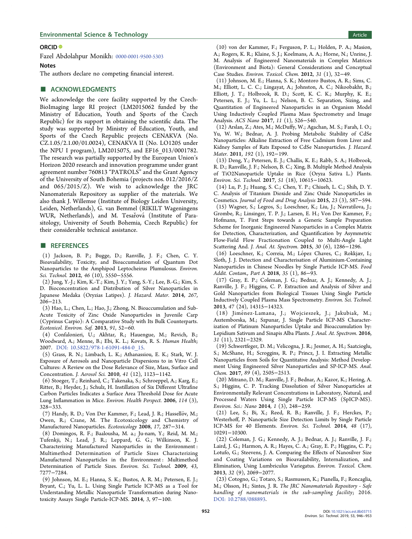#### <span id="page-6-0"></span>**Environmental Science & Technology Article** Article 30 and 30 and 30 and 30 and 30 and 30 and 30 and 30 and 30 and 30 and 30 and 30 and 30 and 30 and 30 and 30 and 30 and 30 and 30 and 30 and 30 and 30 and 30 and 30 and 3

ORCID<sup>®</sup>

Fazel Abdolahpur Monikh: [0000-0001-9500-5303](http://orcid.org/0000-0001-9500-5303)

#### Notes

The authors declare no competing financial interest.

#### ■ ACKNOWLEDGMENTS

We acknowledge the core facility supported by the Czech-BioImaging large RI project (LM2015062 funded by the Ministry of Education, Youth and Sports of the Czech Republic) for its support in obtaining the scientific data. The study was supported by Ministry of Education, Youth, and Sports of the Czech Republic projects CENAKVA (No. CZ.1.05/2.1.00/01.0024), CENAKVA II (No. LO1205 under the NPU I program), LM2015075, and EF16\_013/0001782. The research was partially supported by the European Union's Horizon 2020 research and innovation programme under grant agreement number 760813 "PATROLS" and the Grant Agency of the University of South Bohemia (projects nos. 012/2016/Z and 065/2015/Z). We wish to acknowledge the JRC Nanomaterials Repository as supplier of the materials. We also thank J. Willemse (Institute of Biology Leiden University, Leiden, Netherlands), G. van Bemmel (RIKILT Wageningens WUR, Netherlands), and M. Tesařová (Institute of Parasitology, University of South Bohemia, Czech Republic) for their considerable technical assistance.

#### ■ REFERENCES

(1) Jackson, B. P.; Bugge, D.; Ranville, J. F.; Chen, C. Y. Bioavailability, Toxicity, and Bioaccumulation of Quantum Dot Nanoparticles to the Amphipod Leptocheirus Plumulosus. Environ. Sci. Technol. 2012, 46 (10), 5550−5556.

(2) Jung, Y.-J.; Kim, K.-T.; Kim, J. Y.; Yang, S.-Y.; Lee, B.-G.; Kim, S. D. Bioconcentration and Distribution of Silver Nanoparticles in Japanese Medaka (Oryzias Latipes). J. Hazard. Mater. 2014, 267, 206−213.

(3) Hao, L.; Chen, L.; Hao, J.; Zhong, N. Bioaccumulation and Sub-Acute Toxicity of Zinc Oxide Nanoparticles in Juvenile Carp (Cyprinus Carpio): A Comparative Study with Its Bulk Counterparts. Ecotoxicol. Environ. Saf. 2013, 91, 52−60.

(4) Confalonieri, U.; Akhtar, R.; Hauengue, M.; Revich, B.; Woodward, A.; Menne, B.; Ebi, K. L.; Kovats, R. S. Human Health; 2007. [DOI: 10.5822/978-1-61091-484-0\\_15](http://dx.doi.org/10.5822/978-1-61091-484-0_15).

(5) Grass, R. N.; Limbach, L. K.; Athanassiou, E. K.; Stark, W. J. Exposure of Aerosols and Nanoparticle Dispersions to in Vitro Cell Cultures: A Review on the Dose Relevance of Size, Mass, Surface and Concentration. J. Aerosol Sci. 2010, 41 (12), 1123−1142.

(6) Stoeger, T.; Reinhard, C.; Takenaka, S.; Schroeppel, A.; Karg, E.; Ritter, B.; Heyder, J.; Schulz, H. Instillation of Six Different Ultrafine Carbon Particles Indicates a Surface Area Threshold Dose for Acute Lung Inflammation in Mice. Environ. Health Perspect. 2006, 114 (3), 328−333.

(7) Handy, R. D.; Von Der Kammer, F.; Lead, J. R.; Hassellöv, M.; Owen, R.; Crane, M. The Ecotoxicology and Chemistry of Manufactured Nanoparticles. Ecotoxicology 2008, 17, 287−314.

(8) Domingos, R. F.; Baalousha, M. a.; Ju-nam, Y.; Reid, M. M.; Tufenkji, N.; Lead, J. R.; Leppard, G. G.; Wilkinson, K. J. Characterizing Manufactured Nanoparticles in the Environment : Multimethod Determination of Particle Sizes Characterizing Manufactured Nanoparticles in the Environment : Multimethod Determination of Particle Sizes. Environ. Sci. Technol. 2009, 43, 7277−7284.

(9) Johnson, M. E.; Hanna, S. K.; Bustos, A. R. M.; Petersen, E. J.; Bryant, C.; Yu, L. L. Using Single Particle ICP-MS as a Tool for Understanding Metallic Nanoparticle Transformation during Nanotoxicity Assays Single Particle-ICP-MS. 2014, 3, 97−100.

(10) von der Kammer, F.; Ferguson, P. L.; Holden, P. A.; Masion, A.; Rogers, K. R.; Klaine, S. J.; Koelmans, A. A.; Horne, N.; Unrine, J. M. Analysis of Engineered Nanomaterials in Complex Matrices (Environment and Biota): General Considerations and Conceptual Case Studies. Environ. Toxicol. Chem. 2012, 31 (1), 32−49.

(11) Johnson, M. E.; Hanna, S. K.; Montoro Bustos, A. R.; Sims, C. M.; Elliott, L. C. C.; Lingayat, A.; Johnston, A. C.; Nikoobakht, B.; Elliott, J. T.; Holbrook, R. D.; Scott, K. C. K.; Murphy, K. E.; Petersen, E. J.; Yu, L. L.; Nelson, B. C. Separation, Sizing, and Quantitation of Engineered Nanoparticles in an Organism Model Using Inductively Coupled Plasma Mass Spectrometry and Image Analysis. ACS Nano 2017, 11 (1), 526−540.

(12) Arslan, Z.; Ates, M.; McDuffy, W.; Agachan, M. S.; Farah, I. O.; Yu, W. W.; Bednar, A. J. Probing Metabolic Stability of CdSe Nanoparticles: Alkaline Extraction of Free Cadmium from Liver and Kidney Samples of Rats Exposed to CdSe Nanoparticles. J. Hazard. Mater. 2011, 192 (1), 192−199.

(13) Deng, Y.; Petersen, E. J.; Challis, K. E.; Rabb, S. A.; Holbrook, R. D.; Ranville, J. F.; Nelson, B. C.; Xing, B. Multiple Method Analysis of TiO2Nanoparticle Uptake in Rice (Oryza Sativa L.) Plants. Environ. Sci. Technol. 2017, 51 (18), 10615−10623.

(14) Lu, P. J.; Huang, S. C.; Chen, Y. P.; Chiueh, L. C.; Shih, D. Y. C. Analysis of Titanium Dioxide and Zinc Oxide Nanoparticles in Cosmetics. Journal of Food and Drug Analysis 2015, 23 (3), 587−594. (15) Wagner, S.; Legros, S.; Loeschner, K.; Liu, J.; Navratilova, J.; Grombe, R.; Linsinger, T. P. J.; Larsen, E. H.; Von Der Kammer, F.; Hofmann, T. First Steps towards a Generic Sample Preparation Scheme for Inorganic Engineered Nanoparticles in a Complex Matrix for Detection, Characterization, and Quantification by Asymmetric Flow-Field Flow Fractionation Coupled to Multi-Angle Light Scattering And. J. Anal. At. Spectrom. 2015, 30 (6), 1286−1296.

(16) Loeschner, K.; Correia, M.; López Chaves, C.; Rokkjær, I.; Sloth, J. J. Detection and Characterisation of Aluminium-Containing Nanoparticles in Chinese Noodles by Single Particle ICP-MS. Food Addit. Contam., Part A 2018, 35 (1), 86−93.

(17) Gray, E. P.; Coleman, J. G.; Bednar, A. J.; Kennedy, A. J.; Ranville, J. F.; Higgins, C. P. Extraction and Analysis of Silver and Gold Nanoparticles from Biological Tissues Using Single Particle Inductively Coupled Plasma Mass Spectrometry. Environ. Sci. Technol. 2013, 47 (24), 14315−14323.

(18) Jiménez-Lamana, J.; Wojcieszek, J.; Jakubiak, M.; Asztemborska, M.; Szpunar, J. Single Particle ICP-MS Characterization of Platinum Nanoparticles Uptake and Bioaccumulation by: Lepidium Sativum and Sinapis Alba Plants. J. Anal. At. Spectrom. 2016, 31 (11), 2321−2329.

(19) Schwertfeger, D. M.; Velicogna, J. R.; Jesmer, A. H.; Saatcioglu, S.; McShane, H.; Scroggins, R. P.; Princz, J. I. Extracting Metallic Nanoparticles from Soils for Quantitative Analysis: Method Development Using Engineered Silver Nanoparticles and SP-ICP-MS. Anal. Chem. 2017, 89 (4), 2505−2513.

(20) Mitrano, D. M.; Ranville, J. F.; Bednar, A.; Kazor, K.; Hering, A. S.; Higgins, C. P. Tracking Dissolution of Silver Nanoparticles at Environmentally Relevant Concentrations in Laboratory, Natural, and Processed Waters Using Single Particle ICP-MS (SpICP-MS). Environ. Sci.: Nano 2014, 1 (3), 248−259.

(21) Lee, S.; Bi, X.; Reed, R. B.; Ranville, J. F.; Herckes, P.; Westerhoff, P. Nanoparticle Size Detection Limits by Single Particle ICP-MS for 40 Elements. Environ. Sci. Technol. 2014, 48 (17), 10291−10300.

(22) Coleman, J. G.; Kennedy, A. J.; Bednar, A. J.; Ranville, J. F.; Laird, J. G.; Harmon, A. R.; Hayes, C. A.; Gray, E. P.; Higgins, C. P.; Lotufo, G.; Steevens, J. A. Comparing the Effects of Nanosilver Size and Coating Variations on Bioavailability, Internalization, and Elimination, Using Lumbriculus Variegatus. Environ. Toxicol. Chem. 2013, 32 (9), 2069−2077.

(23) Cotogno, G.; Totaro, S.; Rasmussen, K.; Pianella, F.; Roncaglia, M.; Olsson, H.; Sintes, J. R. The JRC Nanomaterials Repository - Safe handling of nanomaterials in the sub-sampling facility; 2016. [DOI: 10.2788/088893](http://dx.doi.org/10.2788/088893).